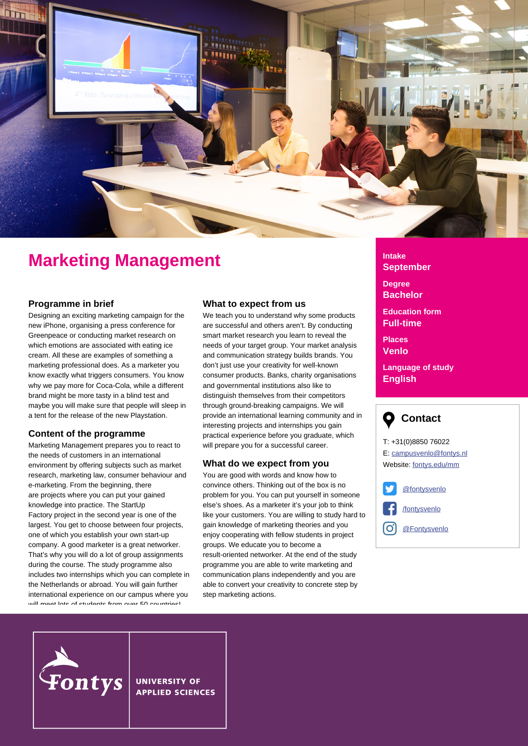

# **Marketing Management**

#### **Programme in brief**

Designing an exciting marketing campaign for the new iPhone, organising a press conference for Greenpeace or conducting market research on which emotions are associated with eating ice cream. All these are examples of something a marketing professional does. As a marketer you know exactly what triggers consumers. You know why we pay more for Coca-Cola, while a different brand might be more tasty in a blind test and maybe you will make sure that people will sleep in a tent for the release of the new Playstation.

#### **Content of the programme**

Marketing Management prepares you to react to the needs of customers in an international environment by offering subjects such as market research, marketing law, consumer behaviour and e-marketing. From the beginning, there are projects where you can put your gained knowledge into practice. The StartUp Factory project in the second year is one of the largest. You get to choose between four projects, one of which you establish your own start-up company. A good marketer is a great networker. That's why you will do a lot of group assignments during the course. The study programme also includes two internships which you can complete in the Netherlands or abroad. You will gain further international experience on our campus where you will meet lote of students from over 50 countries!

#### **What to expect from us**

We teach you to understand why some products are successful and others aren't. By conducting smart market research you learn to reveal the needs of your target group. Your market analysis and communication strategy builds brands. You don't just use your creativity for well-known consumer products. Banks, charity organisations and governmental institutions also like to distinguish themselves from their competitors through ground-breaking campaigns. We will provide an international learning community and in interesting projects and internships you gain practical experience before you graduate, which will prepare you for a successful career.

#### **What do we expect from you**

You are good with words and know how to convince others. Thinking out of the box is no problem for you. You can put yourself in someone else's shoes. As a marketer it's your job to think like your customers. You are willing to study hard to gain knowledge of marketing theories and you enjoy cooperating with fellow students in project groups. We educate you to become a result-oriented networker. At the end of the study programme you are able to write marketing and communication plans independently and you are able to convert your creativity to concrete step by step marketing actions.

## **Intake September**

**Degree Bachelor**

**Education form Full-time**

**Places Venlo**

**Language of study English**



T: +31(0)8850 76022 E: campusvenlo@fontys.nl Website: [fontys.edu/mm](http://fontys.edu/mm)





#### **UNIVERSITY OF APPLIED SCIENCES**